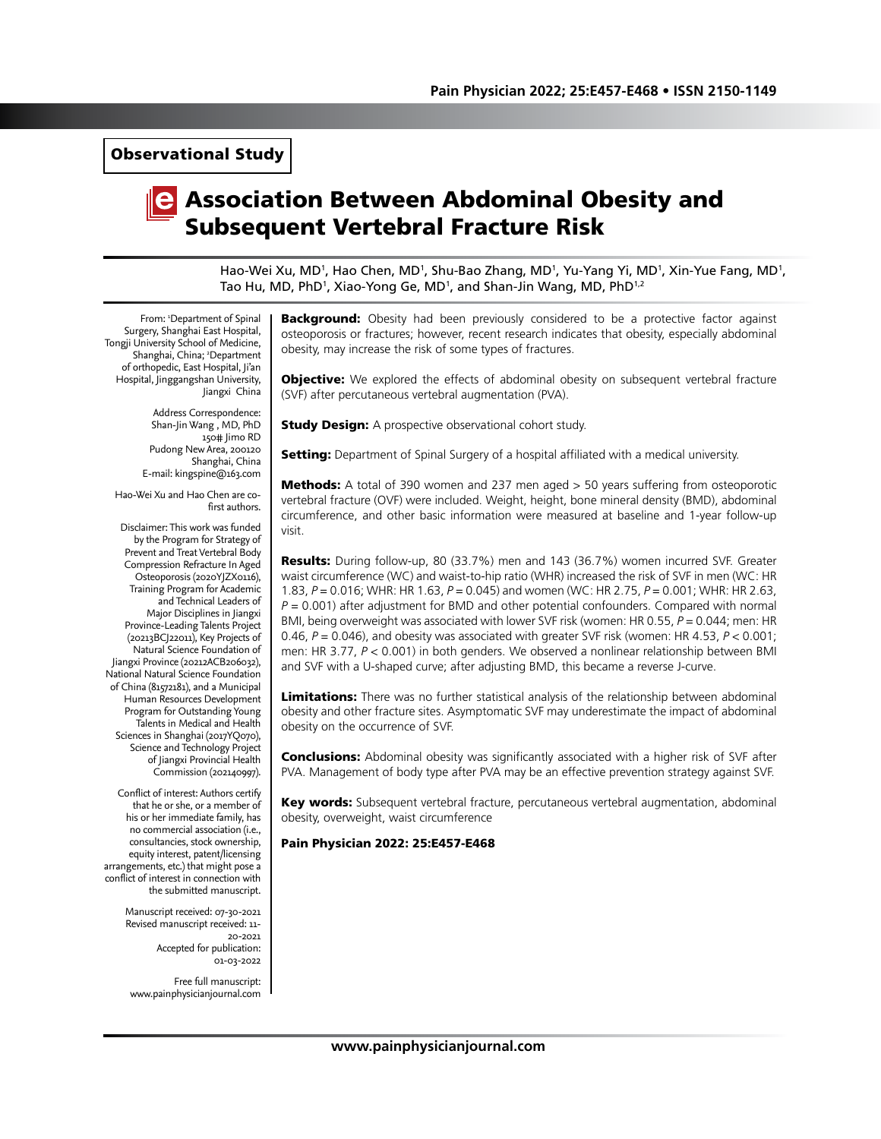Observational Study

# Association Between Abdominal Obesity and Subsequent Vertebral Fracture Risk

Hao-Wei Xu, MD<sup>1</sup>, Hao Chen, MD<sup>1</sup>, Shu-Bao Zhang, MD<sup>1</sup>, Yu-Yang Yi, MD<sup>1</sup>, Xin-Yue Fang, MD<sup>1</sup>, Tao Hu, MD, PhD<sup>1</sup>, Xiao-Yong Ge, MD<sup>1</sup>, and Shan-Jin Wang, MD, PhD<sup>1,2</sup>

From: 1 Department of Spinal Surgery, Shanghai East Hospital, Tongji University School of Medicine, Shanghai, China; 2 Department of orthopedic, East Hospital, Ji'an Hospital, Jinggangshan University, Jiangxi China

> Address Correspondence: Shan-Jin Wang , MD, PhD 150# Jimo RD Pudong New Area, 200120 Shanghai, China E-mail: kingspine@163.com

Hao-Wei Xu and Hao Chen are cofirst authors.

Disclaimer: This work was funded by the Program for Strategy of Prevent and Treat Vertebral Body Compression Refracture In Aged Osteoporosis (2020YJZX0116), Training Program for Academic and Technical Leaders of Major Disciplines in Jiangxi Province-Leading Talents Project (20213BCJ22011), Key Projects of Natural Science Foundation of Jiangxi Province (20212ACB206032), National Natural Science Foundation of China (81572181), and a Municipal Human Resources Development Program for Outstanding Young Talents in Medical and Health Sciences in Shanghai (2017YQ070), Science and Technology Project of Jiangxi Provincial Health Commission (202140997).

Conflict of interest: Authors certify that he or she, or a member of his or her immediate family, has no commercial association (i.e., consultancies, stock ownership, equity interest, patent/licensing arrangements, etc.) that might pose a conflict of interest in connection with the submitted manuscript.

> Manuscript received: 07-30-2021 Revised manuscript received: 11- 20-2021 Accepted for publication: 01-03-2022

Free full manuscript: www.painphysicianjournal.com **Background:** Obesity had been previously considered to be a protective factor against osteoporosis or fractures; however, recent research indicates that obesity, especially abdominal obesity, may increase the risk of some types of fractures.

**Objective:** We explored the effects of abdominal obesity on subsequent vertebral fracture (SVF) after percutaneous vertebral augmentation (PVA).

**Study Design:** A prospective observational cohort study.

**Setting:** Department of Spinal Surgery of a hospital affiliated with a medical university.

**Methods:** A total of 390 women and 237 men aged > 50 years suffering from osteoporotic vertebral fracture (OVF) were included. Weight, height, bone mineral density (BMD), abdominal circumference, and other basic information were measured at baseline and 1-year follow-up visit.

Results: During follow-up, 80 (33.7%) men and 143 (36.7%) women incurred SVF. Greater waist circumference (WC) and waist-to-hip ratio (WHR) increased the risk of SVF in men (WC: HR 1.83, *P* = 0.016; WHR: HR 1.63, *P* = 0.045) and women (WC: HR 2.75, *P* = 0.001; WHR: HR 2.63, *P* = 0.001) after adjustment for BMD and other potential confounders. Compared with normal BMI, being overweight was associated with lower SVF risk (women: HR 0.55, *P* = 0.044; men: HR 0.46, *P* = 0.046), and obesity was associated with greater SVF risk (women: HR 4.53, *P* < 0.001; men: HR 3.77, *P* < 0.001) in both genders. We observed a nonlinear relationship between BMI and SVF with a U-shaped curve; after adjusting BMD, this became a reverse J-curve.

Limitations: There was no further statistical analysis of the relationship between abdominal obesity and other fracture sites. Asymptomatic SVF may underestimate the impact of abdominal obesity on the occurrence of SVF.

**Conclusions:** Abdominal obesity was significantly associated with a higher risk of SVF after PVA. Management of body type after PVA may be an effective prevention strategy against SVF.

Key words: Subsequent vertebral fracture, percutaneous vertebral augmentation, abdominal obesity, overweight, waist circumference

Pain Physician 2022: 25:E457-E468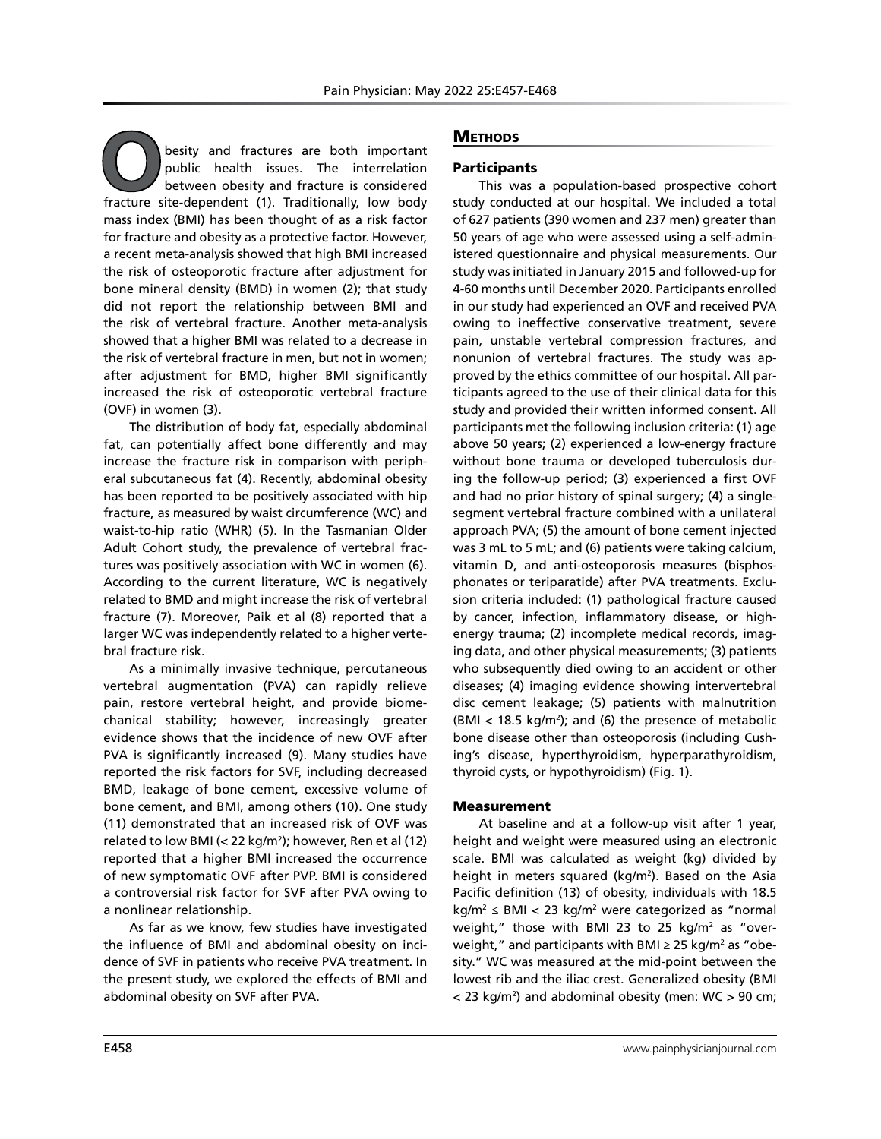**O**besity and fractures are both important public health issues. The interrelation between obesity and fracture is considered fracture site-dependent (1). Traditionally, low body public health issues. The interrelation between obesity and fracture is considered mass index (BMI) has been thought of as a risk factor for fracture and obesity as a protective factor. However, a recent meta-analysis showed that high BMI increased the risk of osteoporotic fracture after adjustment for bone mineral density (BMD) in women (2); that study did not report the relationship between BMI and the risk of vertebral fracture. Another meta-analysis showed that a higher BMI was related to a decrease in the risk of vertebral fracture in men, but not in women; after adjustment for BMD, higher BMI significantly increased the risk of osteoporotic vertebral fracture (OVF) in women (3).

The distribution of body fat, especially abdominal fat, can potentially affect bone differently and may increase the fracture risk in comparison with peripheral subcutaneous fat (4). Recently, abdominal obesity has been reported to be positively associated with hip fracture, as measured by waist circumference (WC) and waist-to-hip ratio (WHR) (5). In the Tasmanian Older Adult Cohort study, the prevalence of vertebral fractures was positively association with WC in women (6). According to the current literature, WC is negatively related to BMD and might increase the risk of vertebral fracture (7). Moreover, Paik et al (8) reported that a larger WC was independently related to a higher vertebral fracture risk.

As a minimally invasive technique, percutaneous vertebral augmentation (PVA) can rapidly relieve pain, restore vertebral height, and provide biomechanical stability; however, increasingly greater evidence shows that the incidence of new OVF after PVA is significantly increased (9). Many studies have reported the risk factors for SVF, including decreased BMD, leakage of bone cement, excessive volume of bone cement, and BMI, among others (10). One study (11) demonstrated that an increased risk of OVF was related to low BMI (< 22 kg/m2 ); however, Ren et al (12) reported that a higher BMI increased the occurrence of new symptomatic OVF after PVP. BMI is considered a controversial risk factor for SVF after PVA owing to a nonlinear relationship.

As far as we know, few studies have investigated the influence of BMI and abdominal obesity on incidence of SVF in patients who receive PVA treatment. In the present study, we explored the effects of BMI and abdominal obesity on SVF after PVA.

# **METHODS**

# **Participants**

This was a population-based prospective cohort study conducted at our hospital. We included a total of 627 patients (390 women and 237 men) greater than 50 years of age who were assessed using a self-administered questionnaire and physical measurements. Our study was initiated in January 2015 and followed-up for 4-60 months until December 2020. Participants enrolled in our study had experienced an OVF and received PVA owing to ineffective conservative treatment, severe pain, unstable vertebral compression fractures, and nonunion of vertebral fractures. The study was approved by the ethics committee of our hospital. All participants agreed to the use of their clinical data for this study and provided their written informed consent. All participants met the following inclusion criteria: (1) age above 50 years; (2) experienced a low-energy fracture without bone trauma or developed tuberculosis during the follow-up period; (3) experienced a first OVF and had no prior history of spinal surgery; (4) a singlesegment vertebral fracture combined with a unilateral approach PVA; (5) the amount of bone cement injected was 3 mL to 5 mL; and (6) patients were taking calcium, vitamin D, and anti-osteoporosis measures (bisphosphonates or teriparatide) after PVA treatments. Exclusion criteria included: (1) pathological fracture caused by cancer, infection, inflammatory disease, or highenergy trauma; (2) incomplete medical records, imaging data, and other physical measurements; (3) patients who subsequently died owing to an accident or other diseases; (4) imaging evidence showing intervertebral disc cement leakage; (5) patients with malnutrition  $(MI < 18.5 \text{ kg/m}^2)$ ; and (6) the presence of metabolic bone disease other than osteoporosis (including Cushing's disease, hyperthyroidism, hyperparathyroidism, thyroid cysts, or hypothyroidism) (Fig. 1).

#### Measurement

At baseline and at a follow-up visit after 1 year, height and weight were measured using an electronic scale. BMI was calculated as weight (kg) divided by height in meters squared (kg/m<sup>2</sup>). Based on the Asia Pacific definition (13) of obesity, individuals with 18.5 kg/m<sup>2</sup>  $\leq$  BMI  $<$  23 kg/m<sup>2</sup> were categorized as "normal weight," those with BMI 23 to 25 kg/m<sup>2</sup> as "overweight," and participants with BMI  $\geq$  25 kg/m² as "obesity." WC was measured at the mid-point between the lowest rib and the iliac crest. Generalized obesity (BMI < 23 kg/m2 ) and abdominal obesity (men: WC > 90 cm;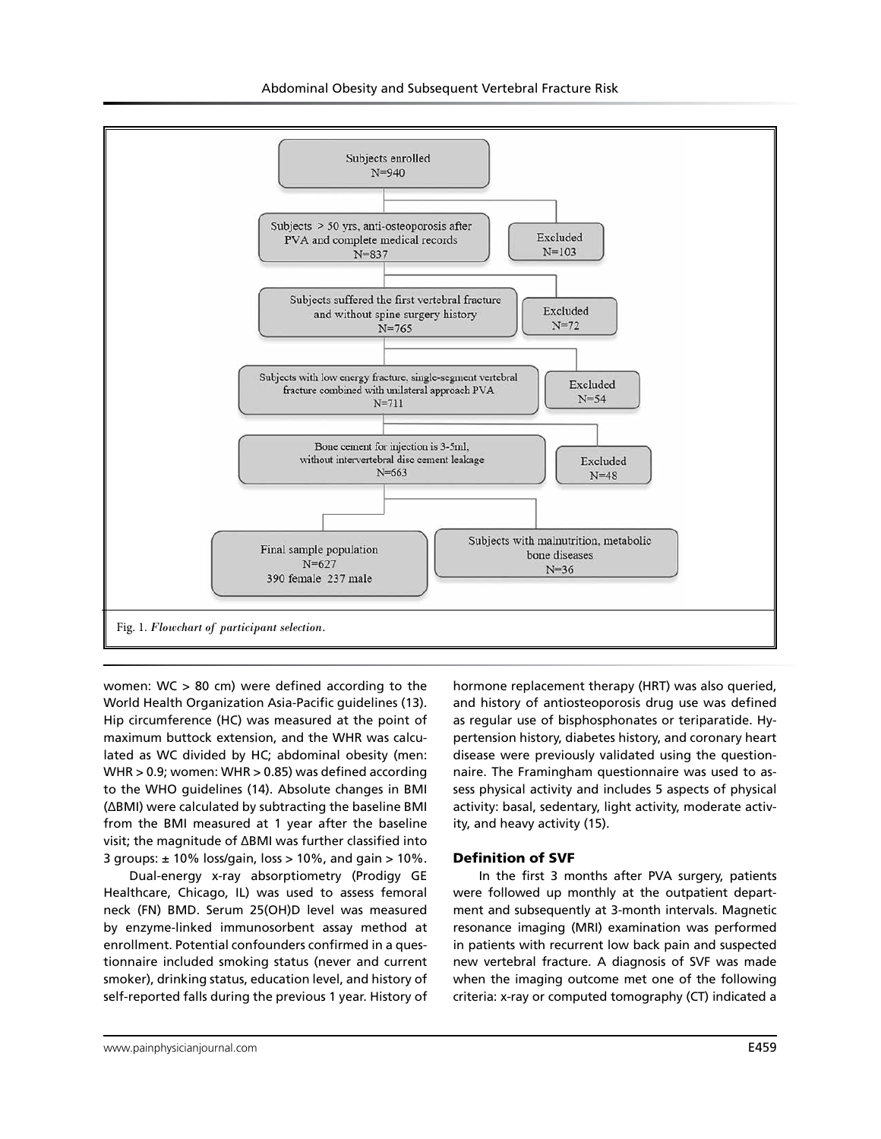

women: WC > 80 cm) were defined according to the World Health Organization Asia-Pacific guidelines (13). Hip circumference (HC) was measured at the point of maximum buttock extension, and the WHR was calculated as WC divided by HC; abdominal obesity (men: WHR > 0.9; women: WHR > 0.85) was defined according to the WHO guidelines (14). Absolute changes in BMI (ΔBMI) were calculated by subtracting the baseline BMI from the BMI measured at 1 year after the baseline visit; the magnitude of ΔBMI was further classified into 3 groups:  $\pm$  10% loss/gain, loss > 10%, and gain > 10%.

Dual-energy x-ray absorptiometry (Prodigy GE Healthcare, Chicago, IL) was used to assess femoral neck (FN) BMD. Serum 25(OH)D level was measured by enzyme-linked immunosorbent assay method at enrollment. Potential confounders confirmed in a questionnaire included smoking status (never and current smoker), drinking status, education level, and history of self-reported falls during the previous 1 year. History of

hormone replacement therapy (HRT) was also queried, and history of antiosteoporosis drug use was defined as regular use of bisphosphonates or teriparatide. Hypertension history, diabetes history, and coronary heart disease were previously validated using the questionnaire. The Framingham questionnaire was used to assess physical activity and includes 5 aspects of physical activity: basal, sedentary, light activity, moderate activity, and heavy activity (15).

#### Definition of SVF

In the first 3 months after PVA surgery, patients were followed up monthly at the outpatient department and subsequently at 3-month intervals. Magnetic resonance imaging (MRI) examination was performed in patients with recurrent low back pain and suspected new vertebral fracture. A diagnosis of SVF was made when the imaging outcome met one of the following criteria: x-ray or computed tomography (CT) indicated a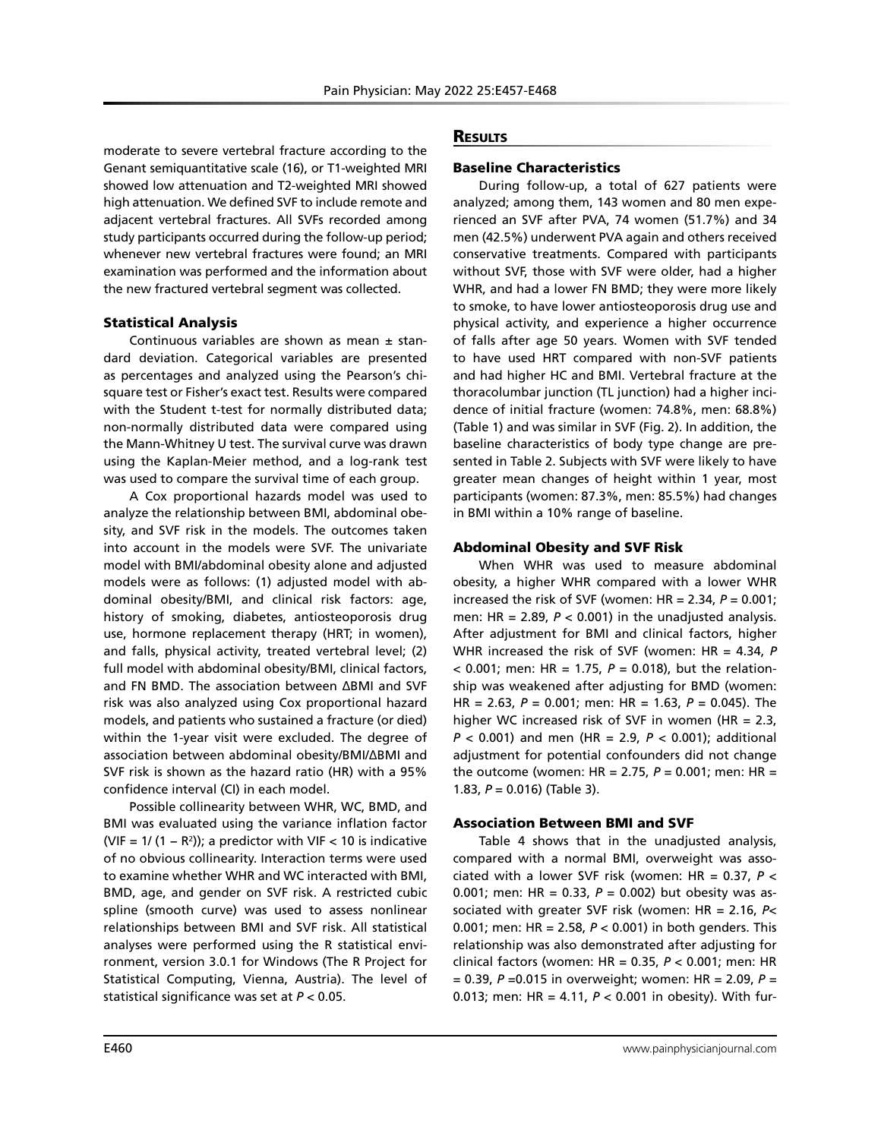moderate to severe vertebral fracture according to the Genant semiquantitative scale (16), or T1-weighted MRI showed low attenuation and T2-weighted MRI showed high attenuation. We defined SVF to include remote and adjacent vertebral fractures. All SVFs recorded among study participants occurred during the follow-up period; whenever new vertebral fractures were found; an MRI examination was performed and the information about the new fractured vertebral segment was collected.

# Statistical Analysis

Continuous variables are shown as mean  $\pm$  standard deviation. Categorical variables are presented as percentages and analyzed using the Pearson's chisquare test or Fisher's exact test. Results were compared with the Student t-test for normally distributed data; non-normally distributed data were compared using the Mann-Whitney U test. The survival curve was drawn using the Kaplan-Meier method, and a log-rank test was used to compare the survival time of each group.

A Cox proportional hazards model was used to analyze the relationship between BMI, abdominal obesity, and SVF risk in the models. The outcomes taken into account in the models were SVF. The univariate model with BMI/abdominal obesity alone and adjusted models were as follows: (1) adjusted model with abdominal obesity/BMI, and clinical risk factors: age, history of smoking, diabetes, antiosteoporosis drug use, hormone replacement therapy (HRT; in women), and falls, physical activity, treated vertebral level; (2) full model with abdominal obesity/BMI, clinical factors, and FN BMD. The association between ΔBMI and SVF risk was also analyzed using Cox proportional hazard models, and patients who sustained a fracture (or died) within the 1-year visit were excluded. The degree of association between abdominal obesity/BMI/ΔBMI and SVF risk is shown as the hazard ratio (HR) with a 95% confidence interval (CI) in each model.

Possible collinearity between WHR, WC, BMD, and BMI was evaluated using the variance inflation factor (VIF = 1/ (1 – R<sup>2</sup>)); a predictor with VIF < 10 is indicative of no obvious collinearity. Interaction terms were used to examine whether WHR and WC interacted with BMI, BMD, age, and gender on SVF risk. A restricted cubic spline (smooth curve) was used to assess nonlinear relationships between BMI and SVF risk. All statistical analyses were performed using the R statistical environment, version 3.0.1 for Windows (The R Project for Statistical Computing, Vienna, Austria). The level of statistical significance was set at *P* < 0.05.

# **RESULTS**

# Baseline Characteristics

During follow-up, a total of 627 patients were analyzed; among them, 143 women and 80 men experienced an SVF after PVA, 74 women (51.7%) and 34 men (42.5%) underwent PVA again and others received conservative treatments. Compared with participants without SVF, those with SVF were older, had a higher WHR, and had a lower FN BMD; they were more likely to smoke, to have lower antiosteoporosis drug use and physical activity, and experience a higher occurrence of falls after age 50 years. Women with SVF tended to have used HRT compared with non-SVF patients and had higher HC and BMI. Vertebral fracture at the thoracolumbar junction (TL junction) had a higher incidence of initial fracture (women: 74.8%, men: 68.8%) (Table 1) and was similar in SVF (Fig. 2). In addition, the baseline characteristics of body type change are presented in Table 2. Subjects with SVF were likely to have greater mean changes of height within 1 year, most participants (women: 87.3%, men: 85.5%) had changes in BMI within a 10% range of baseline.

# Abdominal Obesity and SVF Risk

When WHR was used to measure abdominal obesity, a higher WHR compared with a lower WHR increased the risk of SVF (women:  $HR = 2.34$ ,  $P = 0.001$ ; men: HR =  $2.89$ ,  $P < 0.001$ ) in the unadjusted analysis. After adjustment for BMI and clinical factors, higher WHR increased the risk of SVF (women: HR = 4.34, *P*  $<$  0.001; men: HR = 1.75,  $P = 0.018$ ), but the relationship was weakened after adjusting for BMD (women: HR = 2.63, *P* = 0.001; men: HR = 1.63, *P* = 0.045). The higher WC increased risk of SVF in women (HR = 2.3, *P* < 0.001) and men (HR = 2.9, *P <* 0.001); additional adjustment for potential confounders did not change the outcome (women: HR = 2.75, *P* = 0.001; men: HR = 1.83, *P* = 0.016) (Table 3).

# Association Between BMI and SVF

Table 4 shows that in the unadjusted analysis, compared with a normal BMI, overweight was associated with a lower SVF risk (women: HR = 0.37, *P* < 0.001; men: HR = 0.33, *P* = 0.002) but obesity was associated with greater SVF risk (women: HR = 2.16, *P*< 0.001; men: HR = 2.58, *P* < 0.001) in both genders. This relationship was also demonstrated after adjusting for clinical factors (women: HR = 0.35, *P* < 0.001; men: HR = 0.39, *P* =0.015 in overweight; women: HR = 2.09, *P* = 0.013; men: HR = 4.11, *P* < 0.001 in obesity). With fur-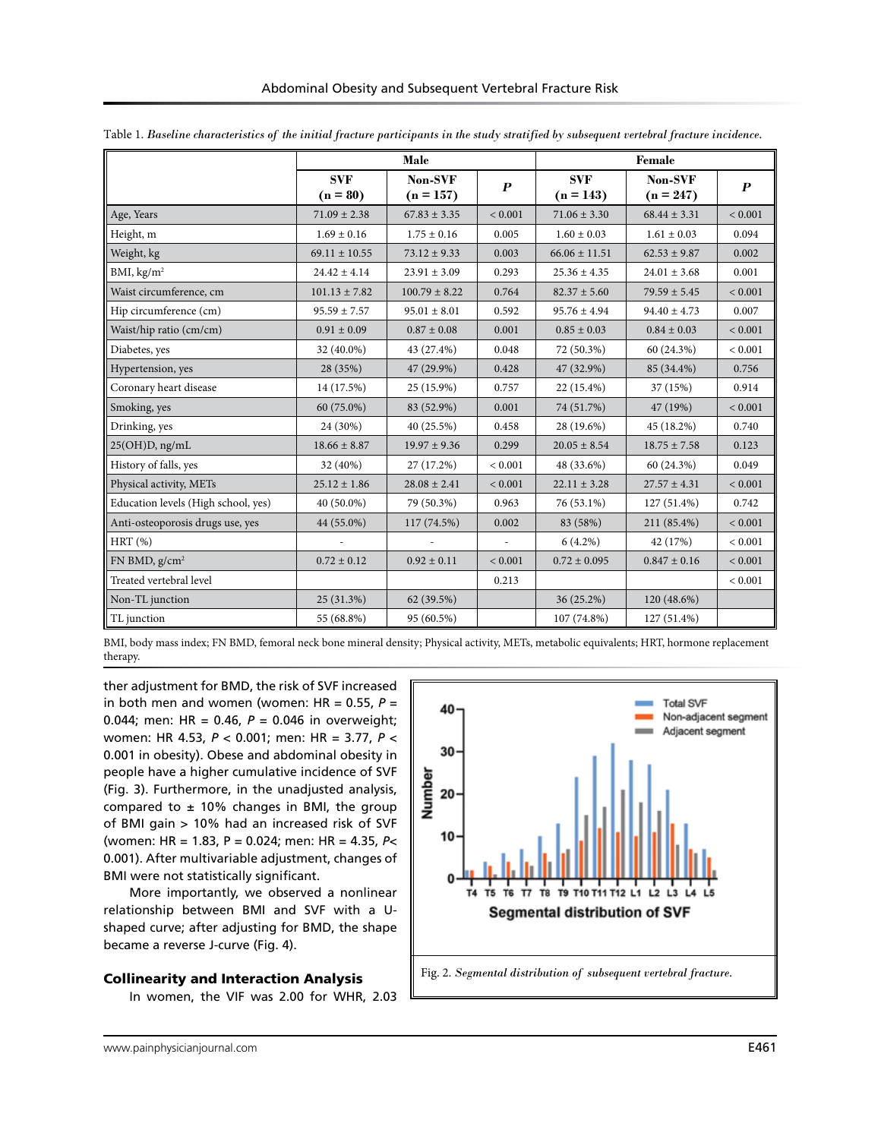|                                     |                          | Male                   |                          | Female                    |                        |                  |
|-------------------------------------|--------------------------|------------------------|--------------------------|---------------------------|------------------------|------------------|
|                                     | <b>SVF</b><br>$(n = 80)$ | Non-SVF<br>$(n = 157)$ | $\boldsymbol{P}$         | <b>SVF</b><br>$(n = 143)$ | Non-SVF<br>$(n = 247)$ | $\boldsymbol{P}$ |
| Age, Years                          | $71.09 \pm 2.38$         | $67.83 \pm 3.35$       | < 0.001                  | $71.06 \pm 3.30$          | $68.44 \pm 3.31$       | < 0.001          |
| Height, m                           | $1.69 \pm 0.16$          | $1.75 \pm 0.16$        | 0.005                    | $1.60\pm0.03$             | $1.61\pm0.03$          | 0.094            |
| Weight, kg                          | $69.11 \pm 10.55$        | $73.12 \pm 9.33$       | 0.003                    | $66.06 \pm 11.51$         | $62.53 \pm 9.87$       | 0.002            |
| BMI, $\text{kg/m}^2$                | $24.42 \pm 4.14$         | $23.91 \pm 3.09$       | 0.293                    | $25.36 \pm 4.35$          | $24.01 \pm 3.68$       | 0.001            |
| Waist circumference, cm             | $101.13 \pm 7.82$        | $100.79 \pm 8.22$      | 0.764                    | $82.37 \pm 5.60$          | $79.59 \pm 5.45$       | < 0.001          |
| Hip circumference (cm)              | $95.59 \pm 7.57$         | $95.01 \pm 8.01$       | 0.592                    | $95.76 \pm 4.94$          | $94.40 \pm 4.73$       | 0.007            |
| Waist/hip ratio (cm/cm)             | $0.91 \pm 0.09$          | $0.87 \pm 0.08$        | 0.001                    | $0.85 \pm 0.03$           | $0.84 \pm 0.03$        | ${}< 0.001$      |
| Diabetes, yes                       | 32 (40.0%)               | 43 (27.4%)             | 0.048                    | 72 (50.3%)                | 60 (24.3%)             | < 0.001          |
| Hypertension, yes                   | 28 (35%)                 | 47 (29.9%)             | 0.428                    | 47 (32.9%)                | 85 (34.4%)             | 0.756            |
| Coronary heart disease              | 14 (17.5%)               | 25 (15.9%)             | 0.757                    | 22 (15.4%)                | 37 (15%)               | 0.914            |
| Smoking, yes                        | 60 (75.0%)               | 83 (52.9%)             | 0.001                    | 74 (51.7%)                | 47 (19%)               | ${}< 0.001$      |
| Drinking, yes                       | 24 (30%)                 | 40 (25.5%)             | 0.458                    | 28 (19.6%)                | 45 (18.2%)             | 0.740            |
| $25(OH)D$ , ng/mL                   | $18.66 \pm 8.87$         | $19.97 \pm 9.36$       | 0.299                    | $20.05 \pm 8.54$          | $18.75 \pm 7.58$       | 0.123            |
| History of falls, yes               | 32 (40%)                 | 27 (17.2%)             | < 0.001                  | 48 (33.6%)                | 60 (24.3%)             | 0.049            |
| Physical activity, METs             | $25.12 \pm 1.86$         | $28.08 \pm 2.41$       | < 0.001                  | $22.11 \pm 3.28$          | $27.57 \pm 4.31$       | ${}< 0.001$      |
| Education levels (High school, yes) | 40 (50.0%)               | 79 (50.3%)             | 0.963                    | 76 (53.1%)                | $127(51.4\%)$          | 0.742            |
| Anti-osteoporosis drugs use, yes    | 44 (55.0%)               | 117 (74.5%)            | 0.002                    | 83 (58%)                  | 211 (85.4%)            | ${}< 0.001$      |
| HRT(%)                              |                          |                        | $\overline{\phantom{a}}$ | $6(4.2\%)$                | 42 (17%)               | < 0.001          |
| $FN BMD$ , $g/cm2$                  | $0.72 \pm 0.12$          | $0.92 \pm 0.11$        | ${}< 0.001$              | $0.72 \pm 0.095$          | $0.847 \pm 0.16$       | < 0.001          |
| Treated vertebral level             |                          |                        | 0.213                    |                           |                        | < 0.001          |
| Non-TL junction                     | 25 (31.3%)               | 62 (39.5%)             |                          | 36 (25.2%)                | $120(48.6\%)$          |                  |
| TL junction                         | 55 (68.8%)               | 95 (60.5%)             |                          | 107 (74.8%)               | 127 (51.4%)            |                  |

Table 1. *Baseline characteristics of the initial fracture participants in the study stratified by subsequent vertebral fracture incidence.*

BMI, body mass index; FN BMD, femoral neck bone mineral density; Physical activity, METs, metabolic equivalents; HRT, hormone replacement therapy.

ther adjustment for BMD, the risk of SVF increased in both men and women (women:  $HR = 0.55$ ,  $P =$ 0.044; men: HR = 0.46, *P* = 0.046 in overweight; women: HR 4.53, *P* < 0.001; men: HR = 3.77, *P* < 0.001 in obesity). Obese and abdominal obesity in people have a higher cumulative incidence of SVF (Fig. 3). Furthermore, in the unadjusted analysis, compared to  $\pm$  10% changes in BMI, the group of BMI gain > 10% had an increased risk of SVF (women: HR = 1.83, P = 0.024; men: HR = 4.35, *P*< 0.001). After multivariable adjustment, changes of BMI were not statistically significant.

More importantly, we observed a nonlinear relationship between BMI and SVF with a Ushaped curve; after adjusting for BMD, the shape became a reverse J-curve (Fig. 4).

#### Collinearity and Interaction Analysis

In women, the VIF was 2.00 for WHR, 2.03

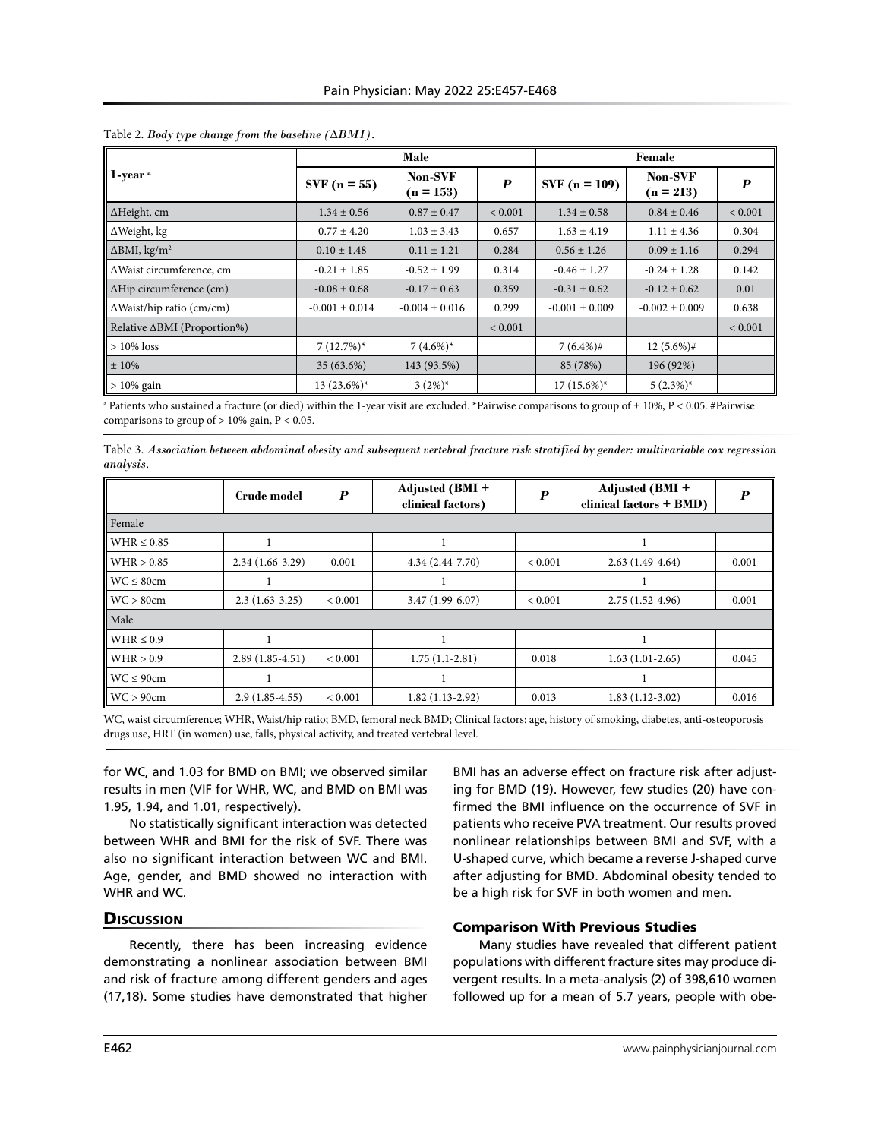|                                  |                    | Male                   |                  | Female             |                        |                  |  |
|----------------------------------|--------------------|------------------------|------------------|--------------------|------------------------|------------------|--|
| $1$ -year $^a$                   | $SVF(n = 55)$      | Non-SVF<br>$(n = 153)$ | $\boldsymbol{P}$ | $SVF(n = 109)$     | Non-SVF<br>$(n = 213)$ | $\boldsymbol{P}$ |  |
| ∆Height, cm                      | $-1.34 \pm 0.56$   | $-0.87 \pm 0.47$       | ${}< 0.001$      | $-1.34 \pm 0.58$   | $-0.84 \pm 0.46$       | ${}< 0.001$      |  |
| $\Delta$ Weight, kg              | $-0.77 \pm 4.20$   | $-1.03 \pm 3.43$       | 0.657            | $-1.63 \pm 4.19$   | $-1.11 \pm 4.36$       | 0.304            |  |
| $\Delta$ BMI, kg/m <sup>2</sup>  | $0.10 \pm 1.48$    | $-0.11 \pm 1.21$       | 0.284            | $0.56 \pm 1.26$    | $-0.09 \pm 1.16$       | 0.294            |  |
| ∆Waist circumference, cm         | $-0.21 \pm 1.85$   | $-0.52 \pm 1.99$       | 0.314            | $-0.46 \pm 1.27$   | $-0.24 \pm 1.28$       | 0.142            |  |
| $\Delta$ Hip circumference (cm)  | $-0.08 \pm 0.68$   | $-0.17 \pm 0.63$       | 0.359            | $-0.31 \pm 0.62$   | $-0.12 \pm 0.62$       | 0.01             |  |
| $\Delta$ Waist/hip ratio (cm/cm) | $-0.001 \pm 0.014$ | $-0.004 \pm 0.016$     | 0.299            | $-0.001 \pm 0.009$ | $-0.002 \pm 0.009$     | 0.638            |  |
| Relative ∆BMI (Proportion%)      |                    |                        | ${}< 0.001$      |                    |                        | ${}< 0.001$      |  |
| $>10\%$ loss                     | $7(12.7%)$ *       | $7(4.6\%)*$            |                  | $7(6.4\%)$ #       | $12(5.6\%)$ #          |                  |  |
| $±10\%$                          | 35 (63.6%)         | 143 (93.5%)            |                  | 85 (78%)           | 196 (92%)              |                  |  |
| $>10\%$ gain                     | $13(23.6\%)*$      | $3(2\%)^*$             |                  | $17(15.6\%)*$      | $5(2.3\%)*$            |                  |  |

#### Table 2. *Body type change from the baseline (ΔBMI).*

 $^{\text{a}}$  Patients who sustained a fracture (or died) within the 1-year visit are excluded. \*Pairwise comparisons to group of  $\pm$  10%, P < 0.05. #Pairwise comparisons to group of > 10% gain, P < 0.05.

|                  |  |  | Table 3. Association between abdominal obesity and subsequent vertebral fracture risk stratified by gender: multivariable cox regression |  |
|------------------|--|--|------------------------------------------------------------------------------------------------------------------------------------------|--|
| <i>analysis.</i> |  |  |                                                                                                                                          |  |

|                         | Crude model       | $\boldsymbol{P}$ | Adjusted (BMI +<br>clinical factors) | P           | Adjusted (BMI +<br>clinical factors + BMD) | $\boldsymbol{P}$ |  |
|-------------------------|-------------------|------------------|--------------------------------------|-------------|--------------------------------------------|------------------|--|
| Female                  |                   |                  |                                      |             |                                            |                  |  |
| $WHR \leq 0.85$         |                   |                  |                                      |             |                                            |                  |  |
| WHR > 0.85              | $2.34(1.66-3.29)$ | 0.001            | 4.34 (2.44-7.70)                     | ${}< 0.001$ | $2.63(1.49-4.64)$                          | 0.001            |  |
| $WC \leq 80cm$          |                   |                  |                                      |             |                                            |                  |  |
| WC > 80cm               | $2.3(1.63-3.25)$  | ${}< 0.001$      | $3.47(1.99-6.07)$                    | ${}< 0.001$ | $2.75(1.52-4.96)$                          | 0.001            |  |
| Male                    |                   |                  |                                      |             |                                            |                  |  |
| $WHR \leq 0.9$          |                   |                  |                                      |             |                                            |                  |  |
| WHR > 0.9               | $2.89(1.85-4.51)$ | ${}< 0.001$      | $1.75(1.1-2.81)$                     | 0.018       | $1.63(1.01-2.65)$                          | 0.045            |  |
| $WC \leq 90cm$          |                   |                  |                                      |             |                                            |                  |  |
| $\parallel$ WC $> 90cm$ | $2.9(1.85-4.55)$  | ${}< 0.001$      | $1.82(1.13-2.92)$                    | 0.013       | $1.83(1.12-3.02)$                          | 0.016            |  |

WC, waist circumference; WHR, Waist/hip ratio; BMD, femoral neck BMD; Clinical factors: age, history of smoking, diabetes, anti-osteoporosis drugs use, HRT (in women) use, falls, physical activity, and treated vertebral level.

for WC, and 1.03 for BMD on BMI; we observed similar results in men (VIF for WHR, WC, and BMD on BMI was 1.95, 1.94, and 1.01, respectively).

No statistically significant interaction was detected between WHR and BMI for the risk of SVF. There was also no significant interaction between WC and BMI. Age, gender, and BMD showed no interaction with WHR and WC.

# **Discussion**

Recently, there has been increasing evidence demonstrating a nonlinear association between BMI and risk of fracture among different genders and ages (17,18). Some studies have demonstrated that higher BMI has an adverse effect on fracture risk after adjusting for BMD (19). However, few studies (20) have confirmed the BMI influence on the occurrence of SVF in patients who receive PVA treatment. Our results proved nonlinear relationships between BMI and SVF, with a U-shaped curve, which became a reverse J-shaped curve after adjusting for BMD. Abdominal obesity tended to be a high risk for SVF in both women and men.

#### Comparison With Previous Studies

Many studies have revealed that different patient populations with different fracture sites may produce divergent results. In a meta-analysis (2) of 398,610 women followed up for a mean of 5.7 years, people with obe-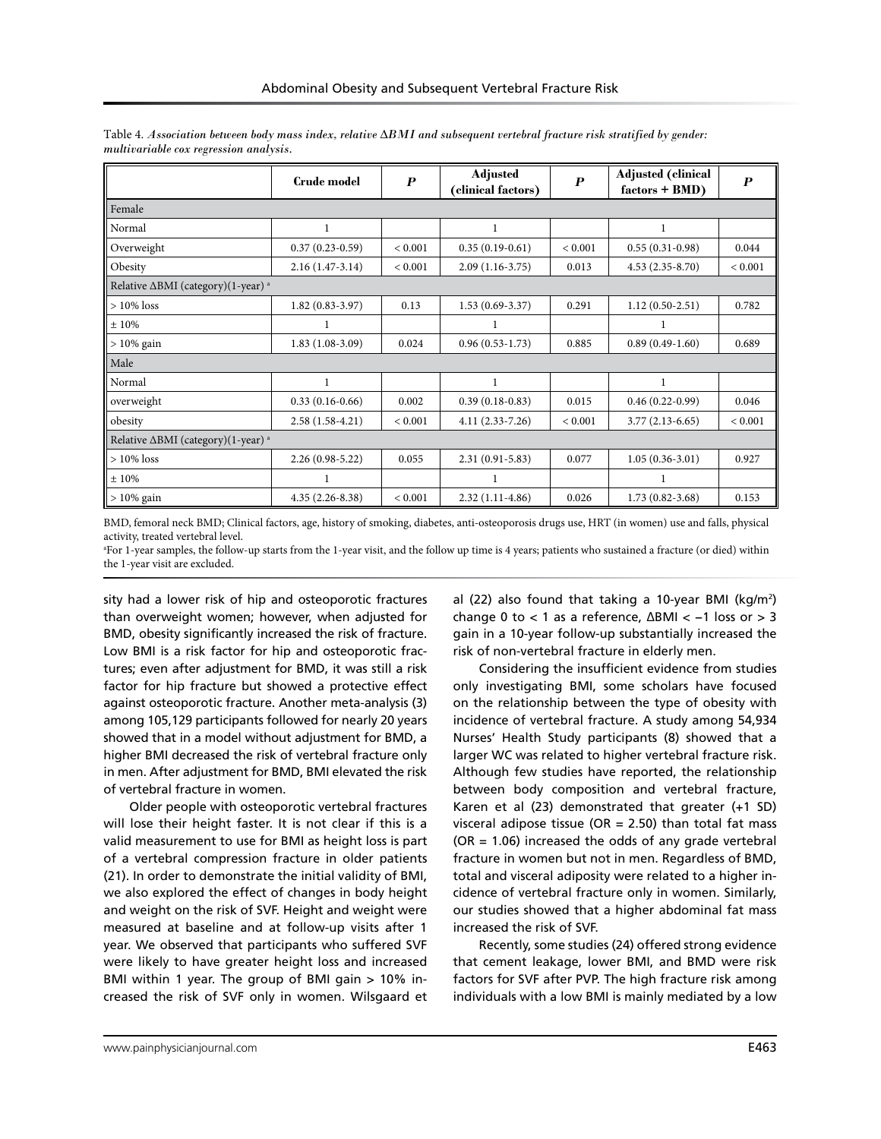|                                                          | <b>Crude model</b> | $\boldsymbol{P}$ | <b>Adjusted</b><br>(clinical factors) | $\boldsymbol{p}$ | <b>Adjusted (clinical</b><br>$factors + BMD)$ | $\boldsymbol{P}$ |  |  |
|----------------------------------------------------------|--------------------|------------------|---------------------------------------|------------------|-----------------------------------------------|------------------|--|--|
| Female                                                   |                    |                  |                                       |                  |                                               |                  |  |  |
| Normal                                                   | 1                  |                  | 1                                     |                  | 1                                             |                  |  |  |
| Overweight                                               | $0.37(0.23-0.59)$  | ${}< 0.001$      | $0.35(0.19-0.61)$                     | ${}< 0.001$      | $0.55(0.31-0.98)$                             | 0.044            |  |  |
| Obesity                                                  | $2.16(1.47-3.14)$  | ${}< 0.001$      | $2.09(1.16-3.75)$                     | 0.013            | $4.53(2.35-8.70)$                             | ${}< 0.001$      |  |  |
| Relative $\triangle$ BMI (category)(1-year) <sup>a</sup> |                    |                  |                                       |                  |                                               |                  |  |  |
| $>10\%$ loss                                             | $1.82(0.83-3.97)$  | 0.13             | $1.53(0.69-3.37)$                     | 0.291            | $1.12(0.50-2.51)$                             | 0.782            |  |  |
| ±10%                                                     |                    |                  |                                       |                  |                                               |                  |  |  |
| $>10\%$ gain                                             | $1.83(1.08-3.09)$  | 0.024            | $0.96(0.53-1.73)$                     | 0.885            | $0.89(0.49-1.60)$                             | 0.689            |  |  |
| Male                                                     |                    |                  |                                       |                  |                                               |                  |  |  |
| Normal                                                   | 1                  |                  | 1                                     |                  | 1                                             |                  |  |  |
| overweight                                               | $0.33(0.16-0.66)$  | 0.002            | $0.39(0.18-0.83)$                     | 0.015            | $0.46(0.22-0.99)$                             | 0.046            |  |  |
| obesity                                                  | $2.58(1.58-4.21)$  | ${}< 0.001$      | $4.11(2.33-7.26)$                     | ${}< 0.001$      | $3.77(2.13-6.65)$                             | < 0.001          |  |  |
| Relative $\triangle$ BMI (category)(1-year) <sup>a</sup> |                    |                  |                                       |                  |                                               |                  |  |  |
| $>10\%$ loss                                             | $2.26(0.98-5.22)$  | 0.055            | $2.31(0.91 - 5.83)$                   | 0.077            | $1.05(0.36-3.01)$                             | 0.927            |  |  |
| ±10%                                                     | 1                  |                  | 1                                     |                  | 1                                             |                  |  |  |
| $>10\%$ gain                                             | $4.35(2.26-8.38)$  | ${}< 0.001$      | $2.32(1.11-4.86)$                     | 0.026            | $1.73(0.82 - 3.68)$                           | 0.153            |  |  |

Table 4. *Association between body mass index, relative ∆BMI and subsequent vertebral fracture risk stratified by gender: multivariable cox regression analysis.*

BMD, femoral neck BMD; Clinical factors, age, history of smoking, diabetes, anti-osteoporosis drugs use, HRT (in women) use and falls, physical activity, treated vertebral level.

a For 1-year samples, the follow-up starts from the 1-year visit, and the follow up time is 4 years; patients who sustained a fracture (or died) within the 1-year visit are excluded.

sity had a lower risk of hip and osteoporotic fractures than overweight women; however, when adjusted for BMD, obesity significantly increased the risk of fracture. Low BMI is a risk factor for hip and osteoporotic fractures; even after adjustment for BMD, it was still a risk factor for hip fracture but showed a protective effect against osteoporotic fracture. Another meta-analysis (3) among 105,129 participants followed for nearly 20 years showed that in a model without adjustment for BMD, a higher BMI decreased the risk of vertebral fracture only in men. After adjustment for BMD, BMI elevated the risk of vertebral fracture in women.

Older people with osteoporotic vertebral fractures will lose their height faster. It is not clear if this is a valid measurement to use for BMI as height loss is part of a vertebral compression fracture in older patients (21). In order to demonstrate the initial validity of BMI, we also explored the effect of changes in body height and weight on the risk of SVF. Height and weight were measured at baseline and at follow-up visits after 1 year. We observed that participants who suffered SVF were likely to have greater height loss and increased BMI within 1 year. The group of BMI gain > 10% increased the risk of SVF only in women. Wilsgaard et

al (22) also found that taking a 10-year BMI (kg/m<sup>2</sup>) change 0 to < 1 as a reference, ∆BMI < −1 loss or > 3 gain in a 10-year follow-up substantially increased the risk of non-vertebral fracture in elderly men.

Considering the insufficient evidence from studies only investigating BMI, some scholars have focused on the relationship between the type of obesity with incidence of vertebral fracture. A study among 54,934 Nurses' Health Study participants (8) showed that a larger WC was related to higher vertebral fracture risk. Although few studies have reported, the relationship between body composition and vertebral fracture, Karen et al (23) demonstrated that greater (+1 SD) visceral adipose tissue (OR = 2.50) than total fat mass  $(OR = 1.06)$  increased the odds of any grade vertebral fracture in women but not in men. Regardless of BMD, total and visceral adiposity were related to a higher incidence of vertebral fracture only in women. Similarly, our studies showed that a higher abdominal fat mass increased the risk of SVF.

Recently, some studies (24) offered strong evidence that cement leakage, lower BMI, and BMD were risk factors for SVF after PVP. The high fracture risk among individuals with a low BMI is mainly mediated by a low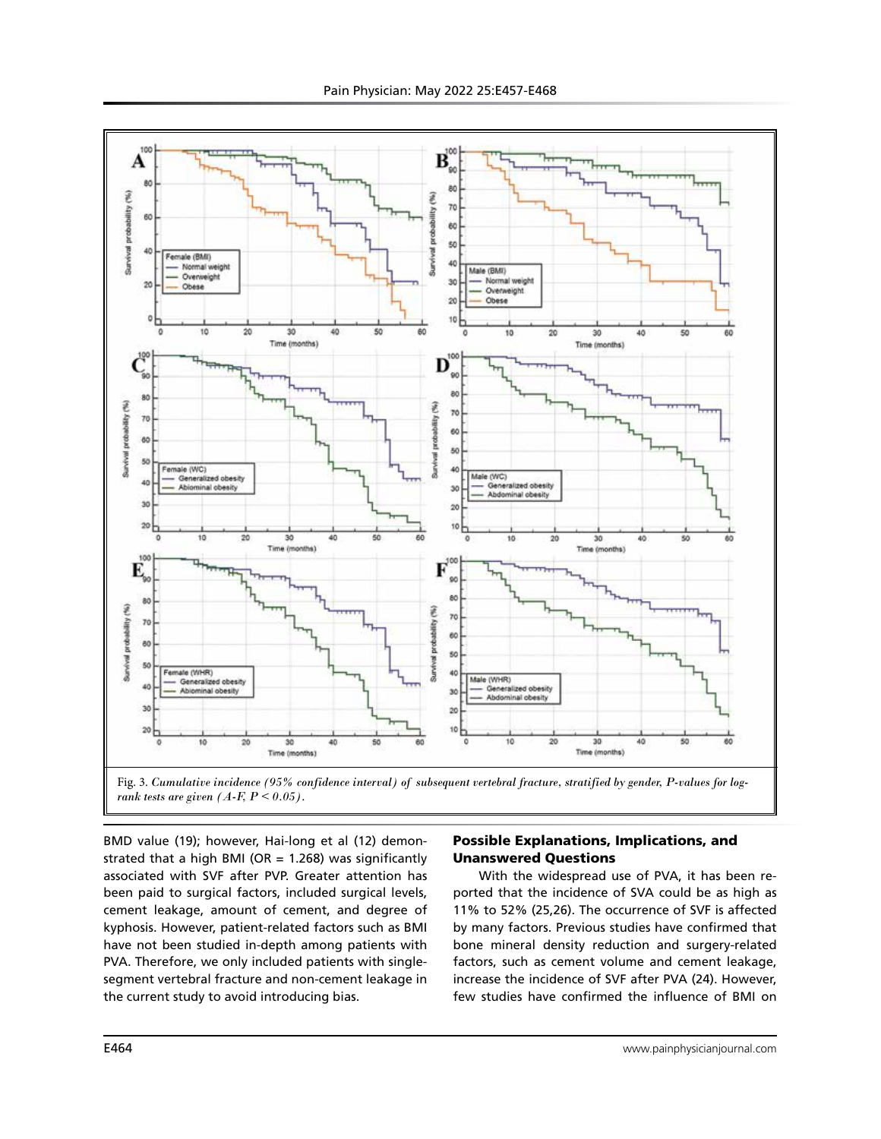

Fig. 3. *Cumulative incidence (95% confidence interval) of subsequent vertebral fracture, stratified by gender, P-values for logrank tests are given*  $(A-F, P \le 0.05)$ *.* 

BMD value (19); however, Hai-long et al (12) demonstrated that a high BMI (OR =  $1.268$ ) was significantly associated with SVF after PVP. Greater attention has been paid to surgical factors, included surgical levels, cement leakage, amount of cement, and degree of kyphosis. However, patient-related factors such as BMI have not been studied in-depth among patients with PVA. Therefore, we only included patients with singlesegment vertebral fracture and non-cement leakage in the current study to avoid introducing bias.

# Possible Explanations, Implications, and Unanswered Questions

With the widespread use of PVA, it has been reported that the incidence of SVA could be as high as 11% to 52% (25,26). The occurrence of SVF is affected by many factors. Previous studies have confirmed that bone mineral density reduction and surgery-related factors, such as cement volume and cement leakage, increase the incidence of SVF after PVA (24). However, few studies have confirmed the influence of BMI on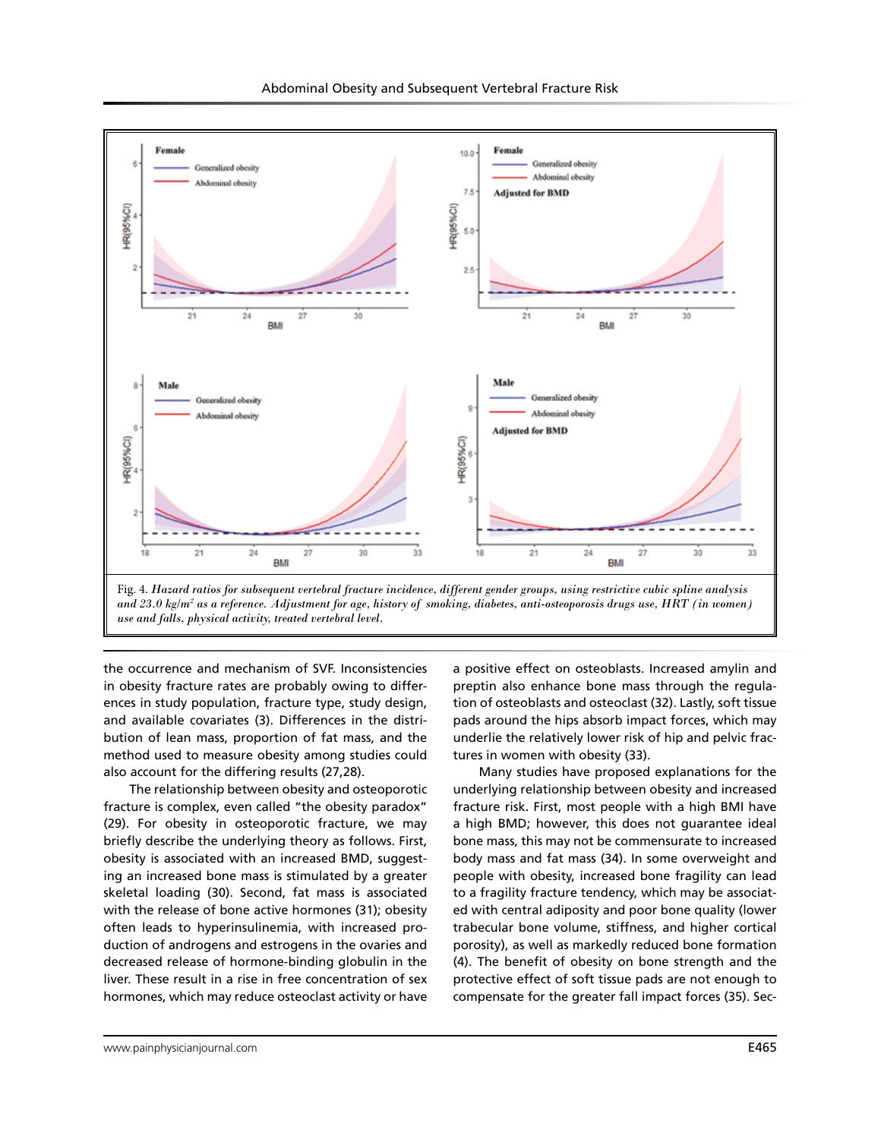

Abdominal Obesity and Subsequent Vertebral Fracture Risk

the occurrence and mechanism of SVF. Inconsistencies

in obesity fracture rates are probably owing to differences in study population, fracture type, study design, and available covariates (3). Differences in the distribution of lean mass, proportion of fat mass, and the method used to measure obesity among studies could also account for the differing results (27,28).

The relationship between obesity and osteoporotic fracture is complex, even called "the obesity paradox" (29). For obesity in osteoporotic fracture, we may briefly describe the underlying theory as follows. First, obesity is associated with an increased BMD, suggesting an increased bone mass is stimulated by a greater skeletal loading (30). Second, fat mass is associated with the release of bone active hormones (31); obesity often leads to hyperinsulinemia, with increased production of androgens and estrogens in the ovaries and decreased release of hormone-binding globulin in the liver. These result in a rise in free concentration of sex hormones, which may reduce osteoclast activity or have

a positive effect on osteoblasts. Increased amylin and preptin also enhance bone mass through the regulation of osteoblasts and osteoclast (32). Lastly, soft tissue pads around the hips absorb impact forces, which may underlie the relatively lower risk of hip and pelvic fractures in women with obesity (33).

Many studies have proposed explanations for the underlying relationship between obesity and increased fracture risk. First, most people with a high BMI have a high BMD; however, this does not guarantee ideal bone mass, this may not be commensurate to increased body mass and fat mass (34). In some overweight and people with obesity, increased bone fragility can lead to a fragility fracture tendency, which may be associated with central adiposity and poor bone quality (lower trabecular bone volume, stiffness, and higher cortical porosity), as well as markedly reduced bone formation (4). The benefit of obesity on bone strength and the protective effect of soft tissue pads are not enough to compensate for the greater fall impact forces (35). Sec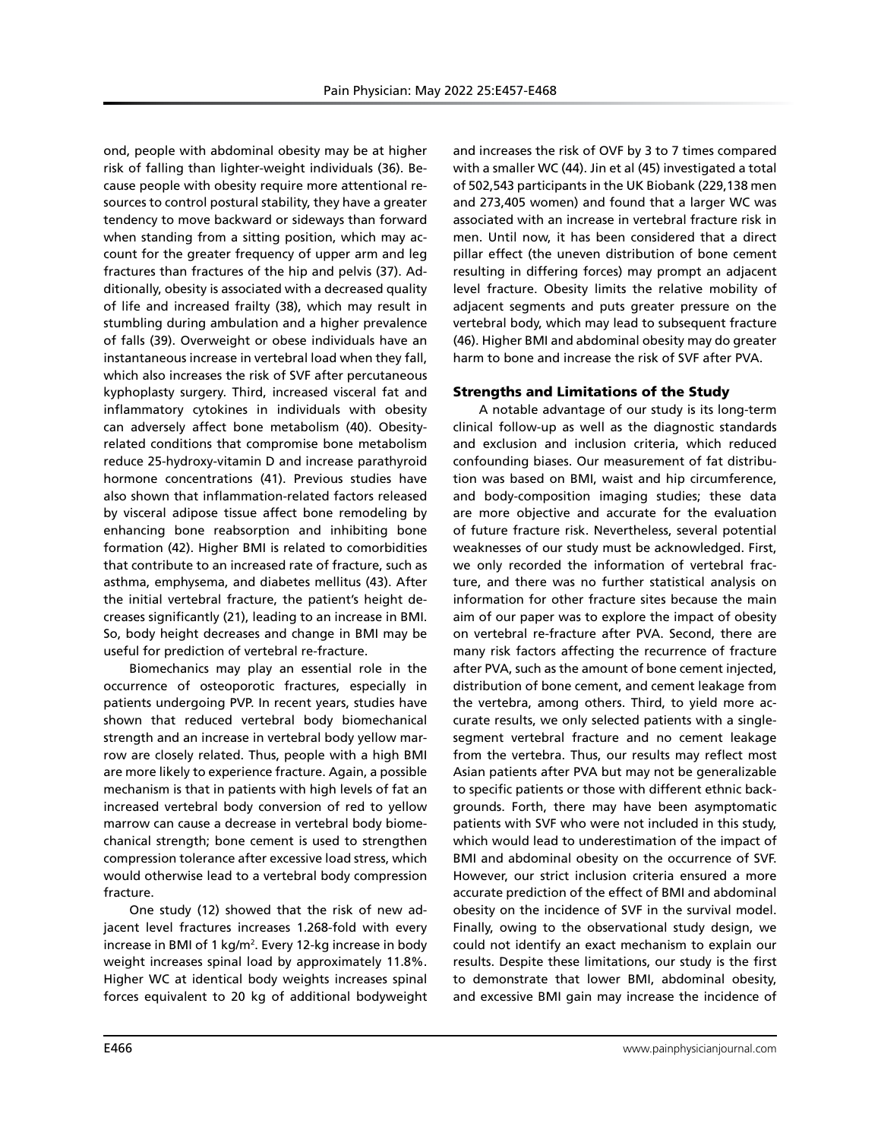ond, people with abdominal obesity may be at higher risk of falling than lighter-weight individuals (36). Because people with obesity require more attentional resources to control postural stability, they have a greater tendency to move backward or sideways than forward when standing from a sitting position, which may account for the greater frequency of upper arm and leg fractures than fractures of the hip and pelvis (37). Additionally, obesity is associated with a decreased quality of life and increased frailty (38), which may result in stumbling during ambulation and a higher prevalence of falls (39). Overweight or obese individuals have an instantaneous increase in vertebral load when they fall, which also increases the risk of SVF after percutaneous kyphoplasty surgery. Third, increased visceral fat and inflammatory cytokines in individuals with obesity can adversely affect bone metabolism (40). Obesityrelated conditions that compromise bone metabolism reduce 25-hydroxy-vitamin D and increase parathyroid hormone concentrations (41). Previous studies have also shown that inflammation-related factors released by visceral adipose tissue affect bone remodeling by enhancing bone reabsorption and inhibiting bone formation (42). Higher BMI is related to comorbidities that contribute to an increased rate of fracture, such as asthma, emphysema, and diabetes mellitus (43). After the initial vertebral fracture, the patient's height decreases significantly (21), leading to an increase in BMI. So, body height decreases and change in BMI may be useful for prediction of vertebral re-fracture.

Biomechanics may play an essential role in the occurrence of osteoporotic fractures, especially in patients undergoing PVP. In recent years, studies have shown that reduced vertebral body biomechanical strength and an increase in vertebral body yellow marrow are closely related. Thus, people with a high BMI are more likely to experience fracture. Again, a possible mechanism is that in patients with high levels of fat an increased vertebral body conversion of red to yellow marrow can cause a decrease in vertebral body biomechanical strength; bone cement is used to strengthen compression tolerance after excessive load stress, which would otherwise lead to a vertebral body compression fracture.

One study (12) showed that the risk of new adjacent level fractures increases 1.268-fold with every increase in BMI of 1 kg/m<sup>2</sup>. Every 12-kg increase in body weight increases spinal load by approximately 11.8%. Higher WC at identical body weights increases spinal forces equivalent to 20 kg of additional bodyweight

and increases the risk of OVF by 3 to 7 times compared with a smaller WC (44). Jin et al (45) investigated a total of 502,543 participants in the UK Biobank (229,138 men and 273,405 women) and found that a larger WC was associated with an increase in vertebral fracture risk in men. Until now, it has been considered that a direct pillar effect (the uneven distribution of bone cement resulting in differing forces) may prompt an adjacent level fracture. Obesity limits the relative mobility of adjacent segments and puts greater pressure on the vertebral body, which may lead to subsequent fracture (46). Higher BMI and abdominal obesity may do greater harm to bone and increase the risk of SVF after PVA.

# Strengths and Limitations of the Study

A notable advantage of our study is its long-term clinical follow-up as well as the diagnostic standards and exclusion and inclusion criteria, which reduced confounding biases. Our measurement of fat distribution was based on BMI, waist and hip circumference, and body-composition imaging studies; these data are more objective and accurate for the evaluation of future fracture risk. Nevertheless, several potential weaknesses of our study must be acknowledged. First, we only recorded the information of vertebral fracture, and there was no further statistical analysis on information for other fracture sites because the main aim of our paper was to explore the impact of obesity on vertebral re-fracture after PVA. Second, there are many risk factors affecting the recurrence of fracture after PVA, such as the amount of bone cement injected, distribution of bone cement, and cement leakage from the vertebra, among others. Third, to yield more accurate results, we only selected patients with a singlesegment vertebral fracture and no cement leakage from the vertebra. Thus, our results may reflect most Asian patients after PVA but may not be generalizable to specific patients or those with different ethnic backgrounds. Forth, there may have been asymptomatic patients with SVF who were not included in this study, which would lead to underestimation of the impact of BMI and abdominal obesity on the occurrence of SVF. However, our strict inclusion criteria ensured a more accurate prediction of the effect of BMI and abdominal obesity on the incidence of SVF in the survival model. Finally, owing to the observational study design, we could not identify an exact mechanism to explain our results. Despite these limitations, our study is the first to demonstrate that lower BMI, abdominal obesity, and excessive BMI gain may increase the incidence of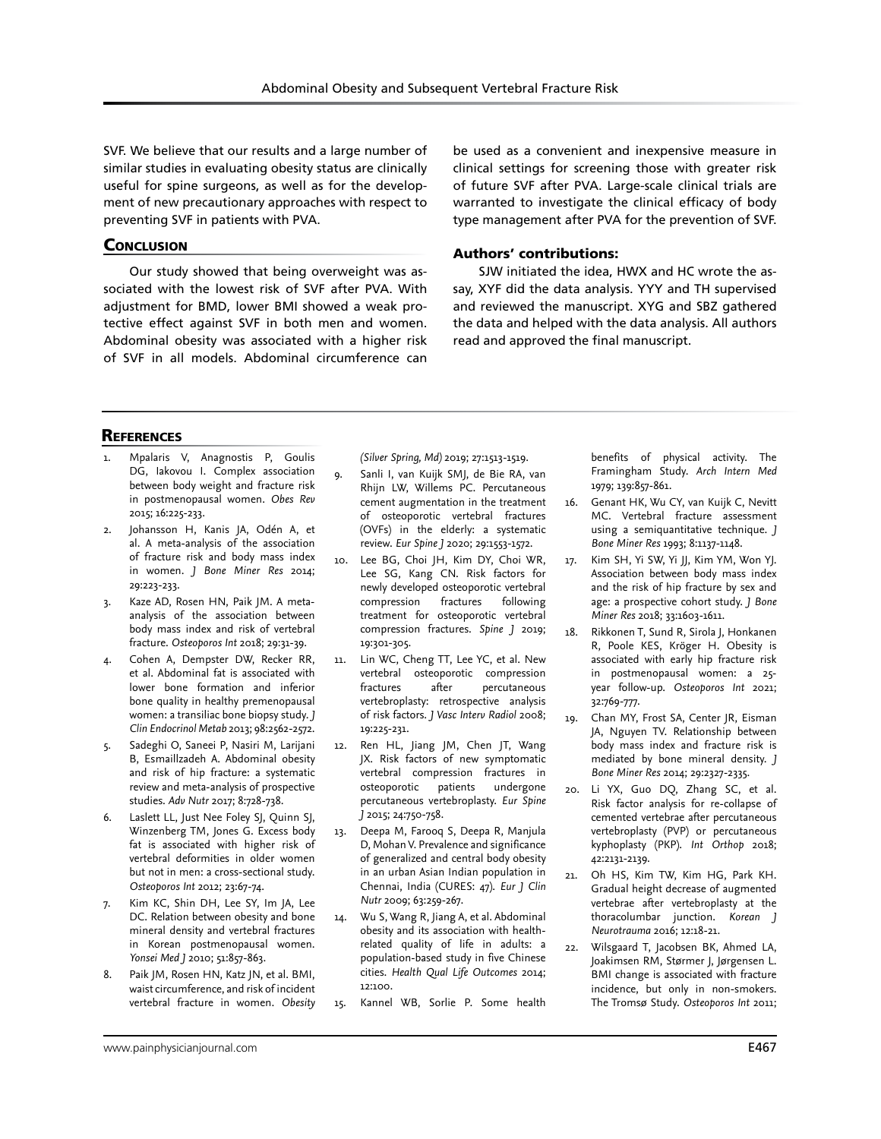SVF. We believe that our results and a large number of similar studies in evaluating obesity status are clinically useful for spine surgeons, as well as for the development of new precautionary approaches with respect to preventing SVF in patients with PVA.

# **CONCLUSION**

Our study showed that being overweight was associated with the lowest risk of SVF after PVA. With adjustment for BMD, lower BMI showed a weak protective effect against SVF in both men and women. Abdominal obesity was associated with a higher risk of SVF in all models. Abdominal circumference can

be used as a convenient and inexpensive measure in clinical settings for screening those with greater risk of future SVF after PVA. Large-scale clinical trials are warranted to investigate the clinical efficacy of body type management after PVA for the prevention of SVF.

#### Authors' contributions:

SJW initiated the idea, HWX and HC wrote the assay, XYF did the data analysis. YYY and TH supervised and reviewed the manuscript. XYG and SBZ gathered the data and helped with the data analysis. All authors read and approved the final manuscript.

# **REFERENCES**

- Mpalaris V, Anagnostis P, Goulis DG, Iakovou I. Complex association between body weight and fracture risk in postmenopausal women. *Obes Rev* 2015; 16:225-233.
- Johansson H, Kanis JA, Odén A, et al. A meta-analysis of the association of fracture risk and body mass index in women. *J Bone Miner Res* 2014; 29:223-233.
- 3. Kaze AD, Rosen HN, Paik JM. A metaanalysis of the association between body mass index and risk of vertebral fracture. *Osteoporos Int* 2018; 29:31-39.
- 4. Cohen A, Dempster DW, Recker RR, et al. Abdominal fat is associated with lower bone formation and inferior bone quality in healthy premenopausal women: a transiliac bone biopsy study. *J Clin Endocrinol Metab* 2013; 98:2562-2572.
- 5. Sadeghi O, Saneei P, Nasiri M, Larijani B, Esmaillzadeh A. Abdominal obesity and risk of hip fracture: a systematic review and meta-analysis of prospective studies. *Adv Nutr* 2017; 8:728-738.
- 6. Laslett LL, Just Nee Foley SJ, Quinn SJ, Winzenberg TM, Jones G. Excess body fat is associated with higher risk of vertebral deformities in older women but not in men: a cross-sectional study. *Osteoporos Int* 2012; 23:67-74.
- 7. Kim KC, Shin DH, Lee SY, Im JA, Lee DC. Relation between obesity and bone mineral density and vertebral fractures in Korean postmenopausal women. *Yonsei Med J* 2010; 51:857-863.
- 8. Paik JM, Rosen HN, Katz JN, et al. BMI, waist circumference, and risk of incident vertebral fracture in women. *Obesity*

*(Silver Spring, Md)* 2019; 27:1513-1519.

- 9. Sanli I, van Kuijk SMJ, de Bie RA, van Rhijn LW, Willems PC. Percutaneous cement augmentation in the treatment of osteoporotic vertebral fractures (OVFs) in the elderly: a systematic review. *Eur Spine J* 2020; 29:1553-1572.
- 10. Lee BG, Choi JH, Kim DY, Choi WR, Lee SG, Kang CN. Risk factors for newly developed osteoporotic vertebral<br>compression fractures following compression fractures treatment for osteoporotic vertebral compression fractures. *Spine J* 2019; 19:301-305.
- 11. Lin WC, Cheng TT, Lee YC, et al. New vertebral osteoporotic compression fractures after percutaneous vertebroplasty: retrospective analysis of risk factors. *J Vasc Interv Radiol* 2008; 19:225-231.
- 12. Ren HL, Jiang JM, Chen JT, Wang JX. Risk factors of new symptomatic vertebral compression fractures in osteoporotic patients undergone percutaneous vertebroplasty. *Eur Spine J* 2015; 24:750-758.
- 13. Deepa M, Farooq S, Deepa R, Manjula D, Mohan V. Prevalence and significance of generalized and central body obesity in an urban Asian Indian population in Chennai, India (CURES: 47). *Eur J Clin Nutr* 2009; 63:259-267.
- 14. Wu S, Wang R, Jiang A, et al. Abdominal obesity and its association with healthrelated quality of life in adults: a population-based study in five Chinese cities. *Health Qual Life Outcomes* 2014; 12:100.
- 15. Kannel WB, Sorlie P. Some health

benefits of physical activity. The Framingham Study. *Arch Intern Med*  1979; 139:857-861.

- 16. Genant HK, Wu CY, van Kuijk C, Nevitt MC. Vertebral fracture assessment using a semiquantitative technique. *J Bone Miner Res* 1993; 8:1137-1148.
- 17. Kim SH, Yi SW, Yi JJ, Kim YM, Won YJ. Association between body mass index and the risk of hip fracture by sex and age: a prospective cohort study. *J Bone Miner Res* 2018; 33:1603-1611.
- 18. Rikkonen T, Sund R, Sirola J, Honkanen R, Poole KES, Kröger H. Obesity is associated with early hip fracture risk in postmenopausal women: a 25 year follow-up. *Osteoporos Int* 2021; 32:769-777.
- 19. Chan MY, Frost SA, Center JR, Eisman JA, Nguyen TV. Relationship between body mass index and fracture risk is mediated by bone mineral density. *J Bone Miner Res* 2014; 29:2327-2335.
- 20. Li YX, Guo DQ, Zhang SC, et al. Risk factor analysis for re-collapse of cemented vertebrae after percutaneous vertebroplasty (PVP) or percutaneous kyphoplasty (PKP). *Int Orthop* 2018; 42:2131-2139.
- 21. Oh HS, Kim TW, Kim HG, Park KH. Gradual height decrease of augmented vertebrae after vertebroplasty at the thoracolumbar junction. *Korean J Neurotrauma* 2016; 12:18-21.
- 22. Wilsgaard T, Jacobsen BK, Ahmed LA, Joakimsen RM, Størmer J, Jørgensen L. BMI change is associated with fracture incidence, but only in non-smokers. The Tromsø Study. *Osteoporos Int* 2011;